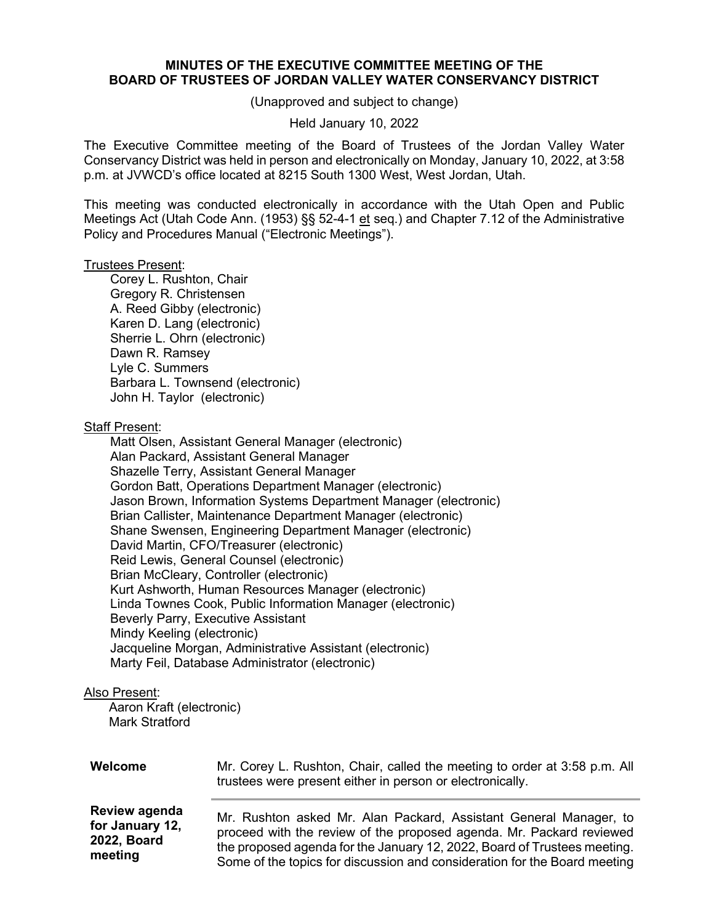## **MINUTES OF THE EXECUTIVE COMMITTEE MEETING OF THE BOARD OF TRUSTEES OF JORDAN VALLEY WATER CONSERVANCY DISTRICT**

(Unapproved and subject to change)

### Held January 10, 2022

The Executive Committee meeting of the Board of Trustees of the Jordan Valley Water Conservancy District was held in person and electronically on Monday, January 10, 2022, at 3:58 p.m. at JVWCD's office located at 8215 South 1300 West, West Jordan, Utah.

This meeting was conducted electronically in accordance with the Utah Open and Public Meetings Act (Utah Code Ann. (1953) §§ 52-4-1 et seq.) and Chapter 7.12 of the Administrative Policy and Procedures Manual ("Electronic Meetings").

#### Trustees Present:

Corey L. Rushton, Chair Gregory R. Christensen A. Reed Gibby (electronic) Karen D. Lang (electronic) Sherrie L. Ohrn (electronic) Dawn R. Ramsey Lyle C. Summers Barbara L. Townsend (electronic) John H. Taylor (electronic)

## Staff Present:

Matt Olsen, Assistant General Manager (electronic) Alan Packard, Assistant General Manager Shazelle Terry, Assistant General Manager Gordon Batt, Operations Department Manager (electronic) Jason Brown, Information Systems Department Manager (electronic) Brian Callister, Maintenance Department Manager (electronic) Shane Swensen, Engineering Department Manager (electronic) David Martin, CFO/Treasurer (electronic) Reid Lewis, General Counsel (electronic) Brian McCleary, Controller (electronic) Kurt Ashworth, Human Resources Manager (electronic) Linda Townes Cook, Public Information Manager (electronic) Beverly Parry, Executive Assistant Mindy Keeling (electronic) Jacqueline Morgan, Administrative Assistant (electronic) Marty Feil, Database Administrator (electronic)

# Also Present:

 Aaron Kraft (electronic) Mark Stratford

| Welcome            | Mr. Corey L. Rushton, Chair, called the meeting to order at 3:58 p.m. All<br>trustees were present either in person or electronically. |
|--------------------|----------------------------------------------------------------------------------------------------------------------------------------|
| Review agenda      | Mr. Rushton asked Mr. Alan Packard, Assistant General Manager, to                                                                      |
| for January 12,    | proceed with the review of the proposed agenda. Mr. Packard reviewed                                                                   |
| <b>2022, Board</b> | the proposed agenda for the January 12, 2022, Board of Trustees meeting.                                                               |
| meeting            | $\bigcap$ and a film function function and contribution of a finite $\bigcap$ and in a finite $\bigcap$                                |

Some of the topics for discussion and consideration for the Board meeting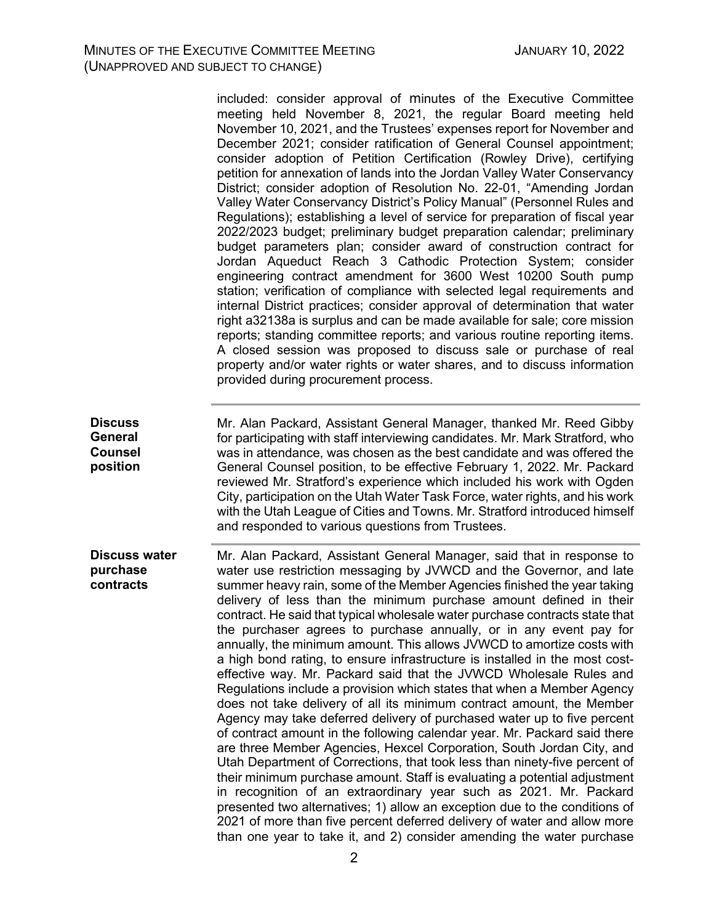**Discuss General Counsel position**

**Discuss water purchase contracts** included: consider approval of minutes of the Executive Committee meeting held November 8, 2021, the regular Board meeting held November 10, 2021, and the Trustees' expenses report for November and December 2021; consider ratification of General Counsel appointment; consider adoption of Petition Certification (Rowley Drive), certifying petition for annexation of lands into the Jordan Valley Water Conservancy District; consider adoption of Resolution No. 22-01, "Amending Jordan Valley Water Conservancy District's Policy Manual" (Personnel Rules and Regulations); establishing a level of service for preparation of fiscal year 2022/2023 budget; preliminary budget preparation calendar; preliminary budget parameters plan; consider award of construction contract for Jordan Aqueduct Reach 3 Cathodic Protection System; consider engineering contract amendment for 3600 West 10200 South pump station; verification of compliance with selected legal requirements and internal District practices; consider approval of determination that water right a32138a is surplus and can be made available for sale; core mission reports; standing committee reports; and various routine reporting items. A closed session was proposed to discuss sale or purchase of real property and/or water rights or water shares, and to discuss information provided during procurement process. Mr. Alan Packard, Assistant General Manager, thanked Mr. Reed Gibby for participating with staff interviewing candidates. Mr. Mark Stratford, who was in attendance, was chosen as the best candidate and was offered the General Counsel position, to be effective February 1, 2022. Mr. Packard reviewed Mr. Stratford's experience which included his work with Ogden City, participation on the Utah Water Task Force, water rights, and his work with the Utah League of Cities and Towns. Mr. Stratford introduced himself and responded to various questions from Trustees. Mr. Alan Packard, Assistant General Manager, said that in response to water use restriction messaging by JVWCD and the Governor, and late summer heavy rain, some of the Member Agencies finished the year taking

delivery of less than the minimum purchase amount defined in their contract. He said that typical wholesale water purchase contracts state that the purchaser agrees to purchase annually, or in any event pay for annually, the minimum amount. This allows JVWCD to amortize costs with a high bond rating, to ensure infrastructure is installed in the most costeffective way. Mr. Packard said that the JVWCD Wholesale Rules and Regulations include a provision which states that when a Member Agency does not take delivery of all its minimum contract amount, the Member Agency may take deferred delivery of purchased water up to five percent of contract amount in the following calendar year. Mr. Packard said there are three Member Agencies, Hexcel Corporation, South Jordan City, and Utah Department of Corrections, that took less than ninety-five percent of their minimum purchase amount. Staff is evaluating a potential adjustment in recognition of an extraordinary year such as 2021. Mr. Packard presented two alternatives; 1) allow an exception due to the conditions of 2021 of more than five percent deferred delivery of water and allow more than one year to take it, and 2) consider amending the water purchase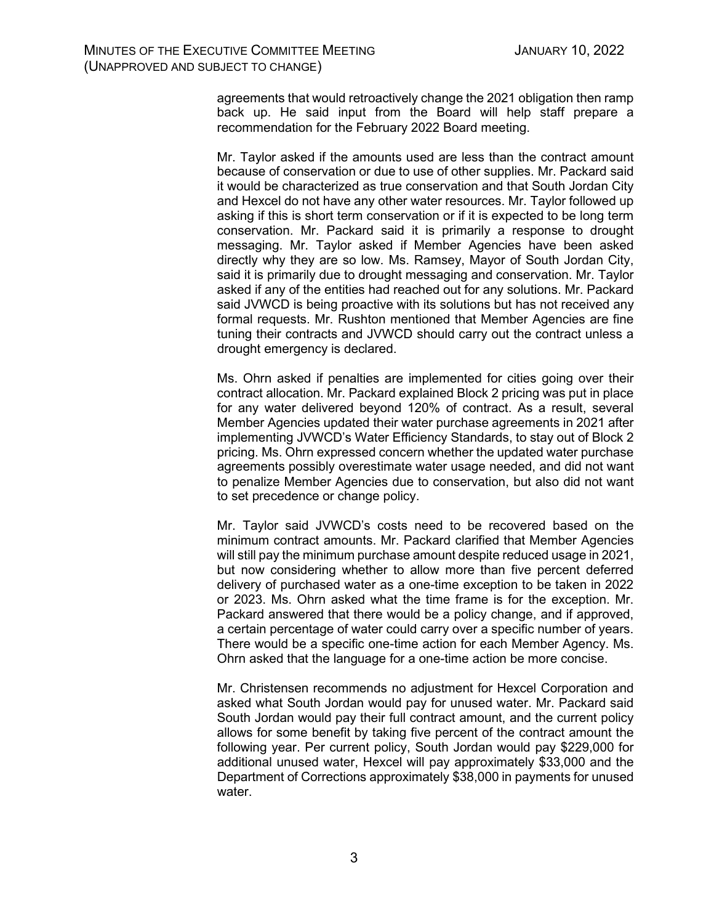agreements that would retroactively change the 2021 obligation then ramp back up. He said input from the Board will help staff prepare a recommendation for the February 2022 Board meeting.

Mr. Taylor asked if the amounts used are less than the contract amount because of conservation or due to use of other supplies. Mr. Packard said it would be characterized as true conservation and that South Jordan City and Hexcel do not have any other water resources. Mr. Taylor followed up asking if this is short term conservation or if it is expected to be long term conservation. Mr. Packard said it is primarily a response to drought messaging. Mr. Taylor asked if Member Agencies have been asked directly why they are so low. Ms. Ramsey, Mayor of South Jordan City, said it is primarily due to drought messaging and conservation. Mr. Taylor asked if any of the entities had reached out for any solutions. Mr. Packard said JVWCD is being proactive with its solutions but has not received any formal requests. Mr. Rushton mentioned that Member Agencies are fine tuning their contracts and JVWCD should carry out the contract unless a drought emergency is declared.

Ms. Ohrn asked if penalties are implemented for cities going over their contract allocation. Mr. Packard explained Block 2 pricing was put in place for any water delivered beyond 120% of contract. As a result, several Member Agencies updated their water purchase agreements in 2021 after implementing JVWCD's Water Efficiency Standards, to stay out of Block 2 pricing. Ms. Ohrn expressed concern whether the updated water purchase agreements possibly overestimate water usage needed, and did not want to penalize Member Agencies due to conservation, but also did not want to set precedence or change policy.

Mr. Taylor said JVWCD's costs need to be recovered based on the minimum contract amounts. Mr. Packard clarified that Member Agencies will still pay the minimum purchase amount despite reduced usage in 2021, but now considering whether to allow more than five percent deferred delivery of purchased water as a one-time exception to be taken in 2022 or 2023. Ms. Ohrn asked what the time frame is for the exception. Mr. Packard answered that there would be a policy change, and if approved, a certain percentage of water could carry over a specific number of years. There would be a specific one-time action for each Member Agency. Ms. Ohrn asked that the language for a one-time action be more concise.

Mr. Christensen recommends no adjustment for Hexcel Corporation and asked what South Jordan would pay for unused water. Mr. Packard said South Jordan would pay their full contract amount, and the current policy allows for some benefit by taking five percent of the contract amount the following year. Per current policy, South Jordan would pay \$229,000 for additional unused water, Hexcel will pay approximately \$33,000 and the Department of Corrections approximately \$38,000 in payments for unused water.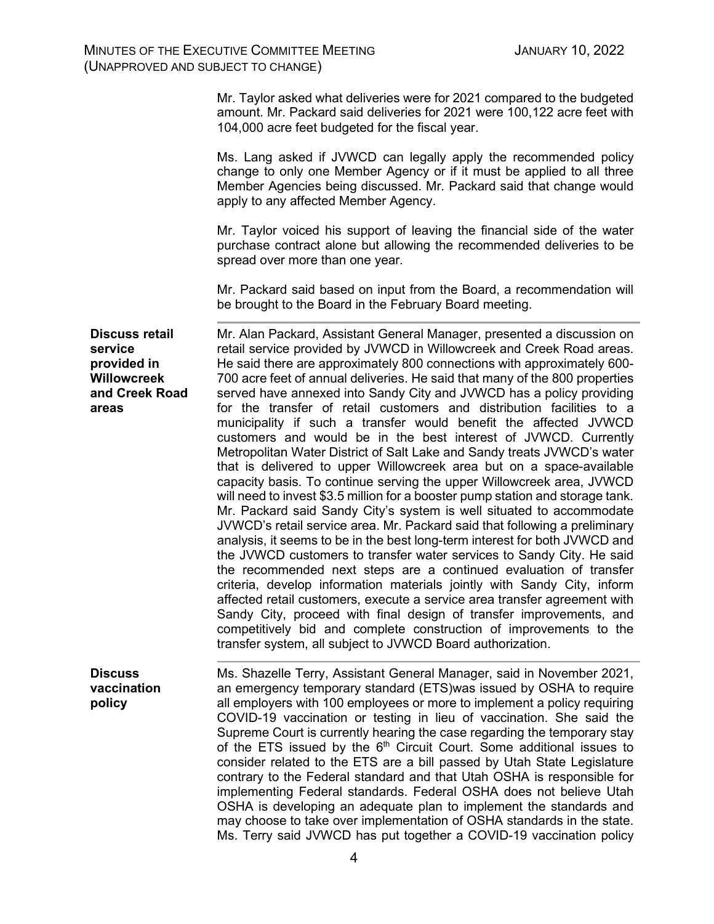Mr. Taylor asked what deliveries were for 2021 compared to the budgeted amount. Mr. Packard said deliveries for 2021 were 100,122 acre feet with 104,000 acre feet budgeted for the fiscal year.

Ms. Lang asked if JVWCD can legally apply the recommended policy change to only one Member Agency or if it must be applied to all three Member Agencies being discussed. Mr. Packard said that change would apply to any affected Member Agency.

Mr. Taylor voiced his support of leaving the financial side of the water purchase contract alone but allowing the recommended deliveries to be spread over more than one year.

Mr. Packard said based on input from the Board, a recommendation will be brought to the Board in the February Board meeting.

**Discuss retail service provided in Willowcreek and Creek Road areas** Mr. Alan Packard, Assistant General Manager, presented a discussion on retail service provided by JVWCD in Willowcreek and Creek Road areas. He said there are approximately 800 connections with approximately 600- 700 acre feet of annual deliveries. He said that many of the 800 properties served have annexed into Sandy City and JVWCD has a policy providing for the transfer of retail customers and distribution facilities to a municipality if such a transfer would benefit the affected JVWCD customers and would be in the best interest of JVWCD. Currently Metropolitan Water District of Salt Lake and Sandy treats JVWCD's water that is delivered to upper Willowcreek area but on a space-available capacity basis. To continue serving the upper Willowcreek area, JVWCD will need to invest \$3.5 million for a booster pump station and storage tank. Mr. Packard said Sandy City's system is well situated to accommodate JVWCD's retail service area. Mr. Packard said that following a preliminary analysis, it seems to be in the best long-term interest for both JVWCD and the JVWCD customers to transfer water services to Sandy City. He said the recommended next steps are a continued evaluation of transfer criteria, develop information materials jointly with Sandy City, inform affected retail customers, execute a service area transfer agreement with Sandy City, proceed with final design of transfer improvements, and competitively bid and complete construction of improvements to the transfer system, all subject to JVWCD Board authorization.

**Discuss vaccination policy** Ms. Shazelle Terry, Assistant General Manager, said in November 2021, an emergency temporary standard (ETS)was issued by OSHA to require all employers with 100 employees or more to implement a policy requiring COVID-19 vaccination or testing in lieu of vaccination. She said the Supreme Court is currently hearing the case regarding the temporary stay of the ETS issued by the  $6<sup>th</sup>$  Circuit Court. Some additional issues to consider related to the ETS are a bill passed by Utah State Legislature contrary to the Federal standard and that Utah OSHA is responsible for implementing Federal standards. Federal OSHA does not believe Utah OSHA is developing an adequate plan to implement the standards and may choose to take over implementation of OSHA standards in the state. Ms. Terry said JVWCD has put together a COVID-19 vaccination policy